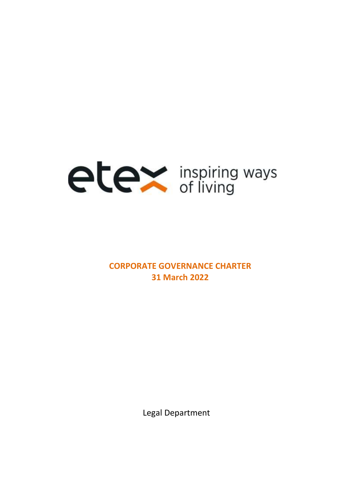

# **CORPORATE GOVERNANCE CHARTER 31 March 2022**

Legal Department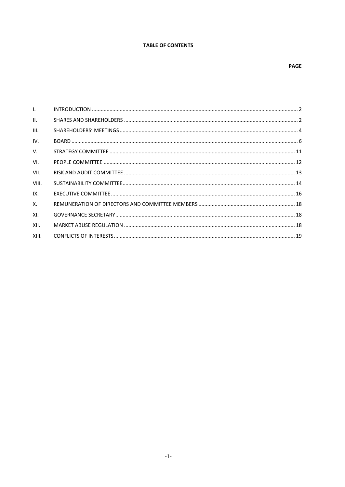## **TABLE OF CONTENTS**

## **PAGE**

| $\mathbf{L}$    |  |
|-----------------|--|
| $\mathbf{II}$ . |  |
| III.            |  |
| IV.             |  |
| $V_{\cdot}$     |  |
| VI.             |  |
| VII.            |  |
| VIII.           |  |
| IX.             |  |
| $X_{-}$         |  |
| XI.             |  |
| XII.            |  |
| XIII.           |  |
|                 |  |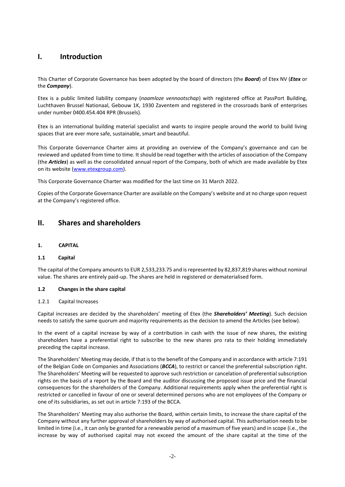## <span id="page-2-0"></span>**I. Introduction**

This Charter of Corporate Governance has been adopted by the board of directors (the *Board*) of Etex NV (*Etex* or the *Company*).

Etex is a public limited liability company (*naamloze vennootschap*) with registered office at PassPort Building, Luchthaven Brussel Nationaal, Gebouw 1K, 1930 Zaventem and registered in the crossroads bank of enterprises under number 0400.454.404 RPR (Brussels).

Etex is an international building material specialist and wants to inspire people around the world to build living spaces that are ever more safe, sustainable, smart and beautiful.

This Corporate Governance Charter aims at providing an overview of the Company's governance and can be reviewed and updated from time to time. It should be read together with the articles of association of the Company (the *Articles*) as well as the consolidated annual report of the Company, both of which are made available by Etex on its website [\(www.etexgroup.com\)](http://www.etexgroup.com/).

This Corporate Governance Charter was modified for the last time on 31 March 2022.

Copies of the Corporate Governance Charter are available on the Company's website and at no charge upon request at the Company's registered office.

## <span id="page-2-1"></span>**II. Shares and shareholders**

**1. CAPITAL**

## **1.1 Capital**

The capital of the Company amounts to EUR 2,533,233.75 and is represented by 82,837,819 shares without nominal value. The shares are entirely paid-up. The shares are held in registered or dematerialised form.

#### **1.2 Changes in the share capital**

### 1.2.1 Capital Increases

Capital increases are decided by the shareholders' meeting of Etex (the *Shareholders' Meeting*). Such decision needs to satisfy the same quorum and majority requirements as the decision to amend the Articles (see below).

In the event of a capital increase by way of a contribution in cash with the issue of new shares, the existing shareholders have a preferential right to subscribe to the new shares pro rata to their holding immediately preceding the capital increase.

The Shareholders' Meeting may decide, if that is to the benefit of the Company and in accordance with article 7:191 of the Belgian Code on Companies and Associations (*BCCA*), to restrict or cancel the preferential subscription right. The Shareholders' Meeting will be requested to approve such restriction or cancelation of preferential subscription rights on the basis of a report by the Board and the auditor discussing the proposed issue price and the financial consequences for the shareholders of the Company. Additional requirements apply when the preferential right is restricted or cancelled in favour of one or several determined persons who are not employees of the Company or one of its subsidiaries, as set out in article 7:193 of the BCCA.

The Shareholders' Meeting may also authorise the Board, within certain limits, to increase the share capital of the Company without any further approval of shareholders by way of authorised capital. This authorisation needs to be limited in time (i.e., it can only be granted for a renewable period of a maximum of five years) and in scope (i.e., the increase by way of authorised capital may not exceed the amount of the share capital at the time of the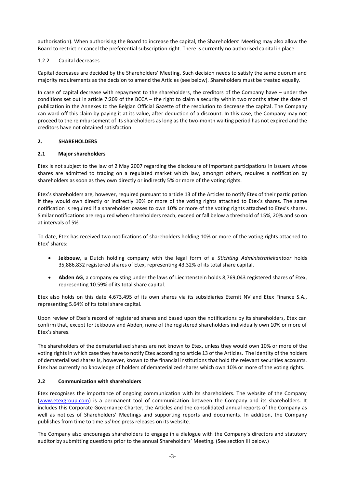authorisation). When authorising the Board to increase the capital, the Shareholders' Meeting may also allow the Board to restrict or cancel the preferential subscription right. There is currently no authorised capital in place.

#### 1.2.2 Capital decreases

Capital decreases are decided by the Shareholders' Meeting. Such decision needs to satisfy the same quorum and majority requirements as the decision to amend the Articles (see below). Shareholders must be treated equally.

In case of capital decrease with repayment to the shareholders, the creditors of the Company have – under the conditions set out in article 7:209 of the BCCA – the right to claim a security within two months after the date of publication in the Annexes to the Belgian Official Gazette of the resolution to decrease the capital. The Company can ward off this claim by paying it at its value, after deduction of a discount. In this case, the Company may not proceed to the reimbursement of its shareholders as long as the two-month waiting period has not expired and the creditors have not obtained satisfaction.

### **2. SHAREHOLDERS**

### **2.1 Major shareholders**

Etex is not subject to the law of 2 May 2007 regarding the disclosure of important participations in issuers whose shares are admitted to trading on a regulated market which law, amongst others, requires a notification by shareholders as soon as they own directly or indirectly 5% or more of the voting rights.

Etex's shareholders are, however, required pursuant to article 13 of the Articles to notify Etex of their participation if they would own directly or indirectly 10% or more of the voting rights attached to Etex's shares. The same notification is required if a shareholder ceases to own 10% or more of the voting rights attached to Etex's shares. Similar notifications are required when shareholders reach, exceed or fall below a threshold of 15%, 20% and so on at intervals of 5%.

To date, Etex has received two notifications of shareholders holding 10% or more of the voting rights attached to Etex' shares:

- **Jekbouw**, a Dutch holding company with the legal form of a *Stichting Administratiekantoor* holds 35,886,832 registered shares of Etex, representing 43.32% of its total share capital.
- **Abden AG**, a company existing under the laws of Liechtenstein holds 8,769,043 registered shares of Etex, representing 10.59% of its total share capital.

Etex also holds on this date 4,673,495 of its own shares via its subsidiaries Eternit NV and Etex Finance S.A., representing 5.64% of its total share capital.

Upon review of Etex's record of registered shares and based upon the notifications by its shareholders, Etex can confirm that, except for Jekbouw and Abden, none of the registered shareholders individually own 10% or more of Etex's shares.

The shareholders of the dematerialised shares are not known to Etex, unless they would own 10% or more of the voting rights in which case they have to notify Etex according to article 13 of the Articles. The identity of the holders of dematerialised shares is, however, known to the financial institutions that hold the relevant securities accounts. Etex has currently no knowledge of holders of dematerialized shares which own 10% or more of the voting rights.

## **2.2 Communication with shareholders**

Etex recognises the importance of ongoing communication with its shareholders. The website of the Company [\(www.etexgroup.com\)](http://www.etexgroup.com/) is a permanent tool of communication between the Company and its shareholders. It includes this Corporate Governance Charter, the Articles and the consolidated annual reports of the Company as well as notices of Shareholders' Meetings and supporting reports and documents. In addition, the Company publishes from time to time *ad hoc* press releases on its website.

The Company also encourages shareholders to engage in a dialogue with the Company's directors and statutory auditor by submitting questions prior to the annual Shareholders' Meeting. (See section [III](#page-4-0) below.)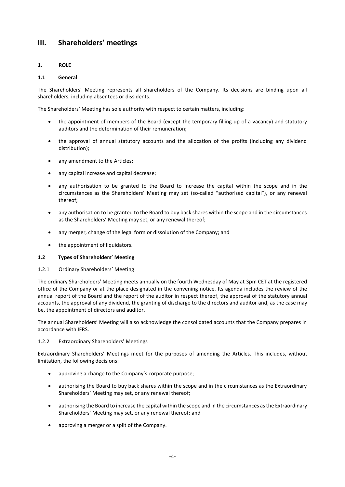## <span id="page-4-0"></span>**III. Shareholders' meetings**

## **1. ROLE**

### **1.1 General**

The Shareholders' Meeting represents all shareholders of the Company. Its decisions are binding upon all shareholders, including absentees or dissidents.

The Shareholders' Meeting has sole authority with respect to certain matters, including:

- the appointment of members of the Board (except the temporary filling-up of a vacancy) and statutory auditors and the determination of their remuneration;
- the approval of annual statutory accounts and the allocation of the profits (including any dividend distribution);
- any amendment to the Articles:
- any capital increase and capital decrease;
- any authorisation to be granted to the Board to increase the capital within the scope and in the circumstances as the Shareholders' Meeting may set (so-called "authorised capital"), or any renewal thereof;
- any authorisation to be granted to the Board to buy back shares within the scope and in the circumstances as the Shareholders' Meeting may set, or any renewal thereof;
- any merger, change of the legal form or dissolution of the Company; and
- the appointment of liquidators.

#### **1.2 Types of Shareholders' Meeting**

#### 1.2.1 Ordinary Shareholders' Meeting

The ordinary Shareholders' Meeting meets annually on the fourth Wednesday of May at 3pm CET at the registered office of the Company or at the place designated in the convening notice. Its agenda includes the review of the annual report of the Board and the report of the auditor in respect thereof, the approval of the statutory annual accounts, the approval of any dividend, the granting of discharge to the directors and auditor and, as the case may be, the appointment of directors and auditor.

The annual Shareholders' Meeting will also acknowledge the consolidated accounts that the Company prepares in accordance with IFRS.

#### 1.2.2 Extraordinary Shareholders' Meetings

Extraordinary Shareholders' Meetings meet for the purposes of amending the Articles. This includes, without limitation, the following decisions:

- approving a change to the Company's corporate purpose;
- authorising the Board to buy back shares within the scope and in the circumstances as the Extraordinary Shareholders' Meeting may set, or any renewal thereof;
- authorising the Board to increase the capital within the scope and in the circumstances as the Extraordinary Shareholders' Meeting may set, or any renewal thereof; and
- approving a merger or a split of the Company.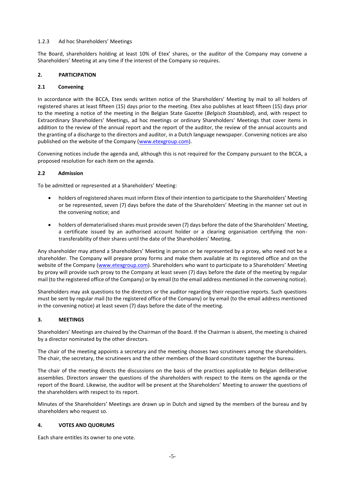#### 1.2.3 Ad hoc Shareholders' Meetings

The Board, shareholders holding at least 10% of Etex' shares, or the auditor of the Company may convene a Shareholders' Meeting at any time if the interest of the Company so requires.

### **2. PARTICIPATION**

#### **2.1 Convening**

In accordance with the BCCA, Etex sends written notice of the Shareholders' Meeting by mail to all holders of registered shares at least fifteen (15) days prior to the meeting. Etex also publishes at least fifteen (15) days prior to the meeting a notice of the meeting in the Belgian State Gazette (*Belgisch Staatsblad*), and, with respect to Extraordinary Shareholders' Meetings, ad hoc meetings or ordinary Shareholders' Meetings that cover items in addition to the review of the annual report and the report of the auditor, the review of the annual accounts and the granting of a discharge to the directors and auditor, in a Dutch language newspaper. Convening notices are also published on the website of the Company [\(www.etexgroup.com\)](http://www.etexgroup.com/).

Convening notices include the agenda and, although this is not required for the Company pursuant to the BCCA, a proposed resolution for each item on the agenda.

### **2.2 Admission**

To be admitted or represented at a Shareholders' Meeting:

- holders of registered shares must inform Etex of their intention to participate to the Shareholders' Meeting or be represented, seven (7) days before the date of the Shareholders' Meeting in the manner set out in the convening notice; and
- holders of dematerialised shares must provide seven (7) days before the date of the Shareholders' Meeting, a certificate issued by an authorised account holder or a clearing organisation certifying the nontransferability of their shares until the date of the Shareholders' Meeting.

Any shareholder may attend a Shareholders' Meeting in person or be represented by a proxy, who need not be a shareholder. The Company will prepare proxy forms and make them available at its registered office and on the website of the Company [\(www.etexgroup.com\)](http://www.etexgroup.com/). Shareholders who want to participate to a Shareholders' Meeting by proxy will provide such proxy to the Company at least seven (7) days before the date of the meeting by regular mail (to the registered office of the Company) or by email (to the email address mentioned in the convening notice).

Shareholders may ask questions to the directors or the auditor regarding their respective reports. Such questions must be sent by regular mail (to the registered office of the Company) or by email (to the email address mentioned in the convening notice) at least seven (7) days before the date of the meeting.

## **3. MEETINGS**

Shareholders' Meetings are chaired by the Chairman of the Board. If the Chairman is absent, the meeting is chaired by a director nominated by the other directors.

The chair of the meeting appoints a secretary and the meeting chooses two scrutineers among the shareholders. The chair, the secretary, the scrutineers and the other members of the Board constitute together the bureau.

The chair of the meeting directs the discussions on the basis of the practices applicable to Belgian deliberative assemblies. Directors answer the questions of the shareholders with respect to the items on the agenda or the report of the Board. Likewise, the auditor will be present at the Shareholders' Meeting to answer the questions of the shareholders with respect to its report.

Minutes of the Shareholders' Meetings are drawn up in Dutch and signed by the members of the bureau and by shareholders who request so.

#### **4. VOTES AND QUORUMS**

Each share entitles its owner to one vote.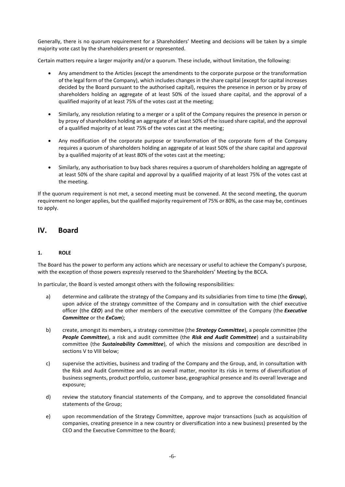Generally, there is no quorum requirement for a Shareholders' Meeting and decisions will be taken by a simple majority vote cast by the shareholders present or represented.

Certain matters require a larger majority and/or a quorum. These include, without limitation, the following:

- Any amendment to the Articles (except the amendments to the corporate purpose or the transformation of the legal form of the Company), which includes changes in the share capital (except for capital increases decided by the Board pursuant to the authorised capital), requires the presence in person or by proxy of shareholders holding an aggregate of at least 50% of the issued share capital, and the approval of a qualified majority of at least 75% of the votes cast at the meeting;
- Similarly, any resolution relating to a merger or a split of the Company requires the presence in person or by proxy of shareholders holding an aggregate of at least 50% of the issued share capital, and the approval of a qualified majority of at least 75% of the votes cast at the meeting;
- Any modification of the corporate purpose or transformation of the corporate form of the Company requires a quorum of shareholders holding an aggregate of at least 50% of the share capital and approval by a qualified majority of at least 80% of the votes cast at the meeting;
- Similarly, any authorisation to buy back shares requires a quorum of shareholders holding an aggregate of at least 50% of the share capital and approval by a qualified majority of at least 75% of the votes cast at the meeting.

If the quorum requirement is not met, a second meeting must be convened. At the second meeting, the quorum requirement no longer applies, but the qualified majority requirement of 75% or 80%, as the case may be, continues to apply.

## <span id="page-6-0"></span>**IV. Board**

## **1. ROLE**

The Board has the power to perform any actions which are necessary or useful to achieve the Company's purpose, with the exception of those powers expressly reserved to the Shareholders' Meeting by the BCCA.

In particular, the Board is vested amongst others with the following responsibilities:

- a) determine and calibrate the strategy of the Company and its subsidiaries from time to time (the *Group*), upon advice of the strategy committee of the Company and in consultation with the chief executive officer (the *CEO*) and the other members of the executive committee of the Company (the *Executive Committee* or the *ExCom*);
- b) create, amongst its members, a strategy committee (the *Strategy Committee*), a people committee (the *People Committee*), a risk and audit committee (the *Risk and Audit Committee*) and a sustainability committee (the *Sustainability Committee*), of which the missions and composition are described in sections [V](#page-11-0) to [VIII](#page-14-0) below;
- c) supervise the activities, business and trading of the Company and the Group, and, in consultation with the Risk and Audit Committee and as an overall matter, monitor its risks in terms of diversification of business segments, product portfolio, customer base, geographical presence and its overall leverage and exposure;
- d) review the statutory financial statements of the Company, and to approve the consolidated financial statements of the Group;
- e) upon recommendation of the Strategy Committee, approve major transactions (such as acquisition of companies, creating presence in a new country or diversification into a new business) presented by the CEO and the Executive Committee to the Board;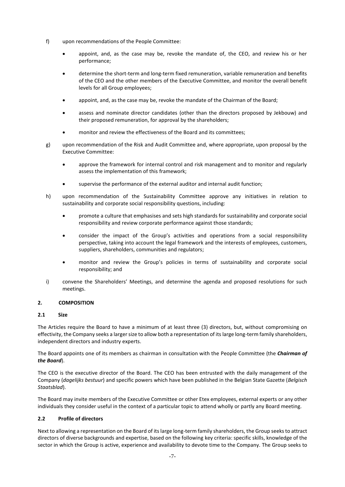- f) upon recommendations of the People Committee:
	- appoint, and, as the case may be, revoke the mandate of, the CEO, and review his or her performance;
	- determine the short-term and long-term fixed remuneration, variable remuneration and benefits of the CEO and the other members of the Executive Committee, and monitor the overall benefit levels for all Group employees;
	- appoint, and, as the case may be, revoke the mandate of the Chairman of the Board;
	- assess and nominate director candidates (other than the directors proposed by Jekbouw) and their proposed remuneration, for approval by the shareholders;
	- monitor and review the effectiveness of the Board and its committees;
- g) upon recommendation of the Risk and Audit Committee and, where appropriate, upon proposal by the Executive Committee:
	- approve the framework for internal control and risk management and to monitor and regularly assess the implementation of this framework;
	- supervise the performance of the external auditor and internal audit function;
- h) upon recommendation of the Sustainability Committee approve any initiatives in relation to sustainability and corporate social responsibility questions, including:
	- promote a culture that emphasises and sets high standards for sustainability and corporate social responsibility and review corporate performance against those standards;
	- consider the impact of the Group's activities and operations from a social responsibility perspective, taking into account the legal framework and the interests of employees, customers, suppliers, shareholders, communities and regulators;
	- monitor and review the Group's policies in terms of sustainability and corporate social responsibility; and
- i) convene the Shareholders' Meetings, and determine the agenda and proposed resolutions for such meetings.

## **2. COMPOSITION**

#### **2.1 Size**

The Articles require the Board to have a minimum of at least three (3) directors, but, without compromising on effectivity, the Company seeks a larger size to allow both a representation of its large long-term family shareholders, independent directors and industry experts.

The Board appoints one of its members as chairman in consultation with the People Committee (the *Chairman of the Board*).

The CEO is the executive director of the Board. The CEO has been entrusted with the daily management of the Company (*dagelijks bestuur*) and specific powers which have been published in the Belgian State Gazette (*Belgisch Staatsblad*).

The Board may invite members of the Executive Committee or other Etex employees, external experts or any other individuals they consider useful in the context of a particular topic to attend wholly or partly any Board meeting.

## **2.2 Profile of directors**

Next to allowing a representation on the Board of its large long-term family shareholders, the Group seeks to attract directors of diverse backgrounds and expertise, based on the following key criteria: specific skills, knowledge of the sector in which the Group is active, experience and availability to devote time to the Company. The Group seeks to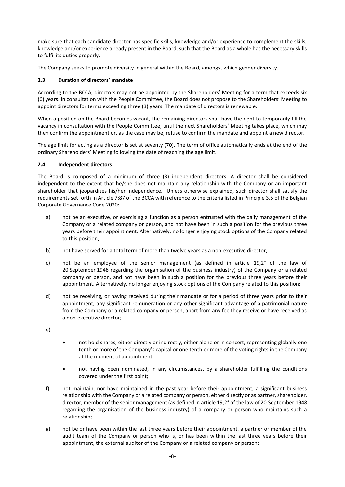make sure that each candidate director has specific skills, knowledge and/or experience to complement the skills, knowledge and/or experience already present in the Board, such that the Board as a whole has the necessary skills to fulfil its duties properly.

The Company seeks to promote diversity in general within the Board, amongst which gender diversity.

### **2.3 Duration of directors' mandate**

According to the BCCA, directors may not be appointed by the Shareholders' Meeting for a term that exceeds six (6) years. In consultation with the People Committee, the Board does not propose to the Shareholders' Meeting to appoint directors for terms exceeding three (3) years. The mandate of directors is renewable.

When a position on the Board becomes vacant, the remaining directors shall have the right to temporarily fill the vacancy in consultation with the People Committee, until the next Shareholders' Meeting takes place, which may then confirm the appointment or, as the case may be, refuse to confirm the mandate and appoint a new director.

The age limit for acting as a director is set at seventy (70). The term of office automatically ends at the end of the ordinary Shareholders' Meeting following the date of reaching the age limit.

### **2.4 Independent directors**

The Board is composed of a minimum of three (3) independent directors. A director shall be considered independent to the extent that he/she does not maintain any relationship with the Company or an important shareholder that jeopardizes his/her independence. Unless otherwise explained, such director shall satisfy the requirements set forth in Article 7:87 of the BCCA with reference to the criteria listed in Principle 3.5 of the Belgian Corporate Governance Code 2020:

- a) not be an executive, or exercising a function as a person entrusted with the daily management of the Company or a related company or person, and not have been in such a position for the previous three years before their appointment. Alternatively, no longer enjoying stock options of the Company related to this position;
- b) not have served for a total term of more than twelve years as a non-executive director;
- c) not be an employee of the senior management (as defined in article 19,2° of the law of 20 September 1948 regarding the organisation of the business industry) of the Company or a related company or person, and not have been in such a position for the previous three years before their appointment. Alternatively, no longer enjoying stock options of the Company related to this position;
- d) not be receiving, or having received during their mandate or for a period of three years prior to their appointment, any significant remuneration or any other significant advantage of a patrimonial nature from the Company or a related company or person, apart from any fee they receive or have received as a non-executive director;
- e)
- not hold shares, either directly or indirectly, either alone or in concert, representing globally one tenth or more of the Company's capital or one tenth or more of the voting rights in the Company at the moment of appointment;
- not having been nominated, in any circumstances, by a shareholder fulfilling the conditions covered under the first point;
- f) not maintain, nor have maintained in the past year before their appointment, a significant business relationship with the Company or a related company or person, either directly or as partner, shareholder, director, member of the senior management (as defined in article 19,2° of the law of 20 September 1948 regarding the organisation of the business industry) of a company or person who maintains such a relationship;
- g) not be or have been within the last three years before their appointment, a partner or member of the audit team of the Company or person who is, or has been within the last three years before their appointment, the external auditor of the Company or a related company or person;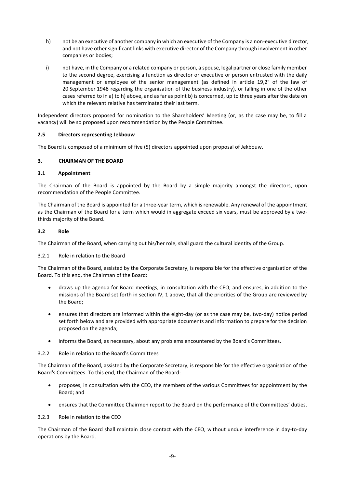- h) not be an executive of another company in which an executive of the Company is a non-executive director, and not have other significant links with executive director of the Company through involvement in other companies or bodies;
- i) not have, in the Company or a related company or person, a spouse, legal partner or close family member to the second degree, exercising a function as director or executive or person entrusted with the daily management or employee of the senior management (as defined in article 19,2° of the law of 20 September 1948 regarding the organisation of the business industry), or falling in one of the other cases referred to in a) to h) above, and as far as point b) is concerned, up to three years after the date on which the relevant relative has terminated their last term.

Independent directors proposed for nomination to the Shareholders' Meeting (or, as the case may be, to fill a vacancy) will be so proposed upon recommendation by the People Committee.

#### **2.5 Directors representing Jekbouw**

The Board is composed of a minimum of five (5) directors appointed upon proposal of Jekbouw.

### **3. CHAIRMAN OF THE BOARD**

#### **3.1 Appointment**

The Chairman of the Board is appointed by the Board by a simple majority amongst the directors, upon recommendation of the People Committee.

The Chairman of the Board is appointed for a three-year term, which is renewable. Any renewal of the appointment as the Chairman of the Board for a term which would in aggregate exceed six years, must be approved by a twothirds majority of the Board.

#### **3.2 Role**

The Chairman of the Board, when carrying out his/her role, shall guard the cultural identity of the Group.

#### 3.2.1 Role in relation to the Board

The Chairman of the Board, assisted by the Corporate Secretary, is responsible for the effective organisation of the Board. To this end, the Chairman of the Board:

- draws up the agenda for Board meetings, in consultation with the CEO, and ensures, in addition to the missions of the Board set forth in section [IV,](#page-6-0) 1 above, that all the priorities of the Group are reviewed by the Board;
- ensures that directors are informed within the eight-day (or as the case may be, two-day) notice period set forth below and are provided with appropriate documents and information to prepare for the decision proposed on the agenda;
- informs the Board, as necessary, about any problems encountered by the Board's Committees.

3.2.2 Role in relation to the Board's Committees

The Chairman of the Board, assisted by the Corporate Secretary, is responsible for the effective organisation of the Board's Committees. To this end, the Chairman of the Board:

- proposes, in consultation with the CEO, the members of the various Committees for appointment by the Board; and
- ensures that the Committee Chairmen report to the Board on the performance of the Committees' duties.

#### 3.2.3 Role in relation to the CEO

The Chairman of the Board shall maintain close contact with the CEO, without undue interference in day-to-day operations by the Board.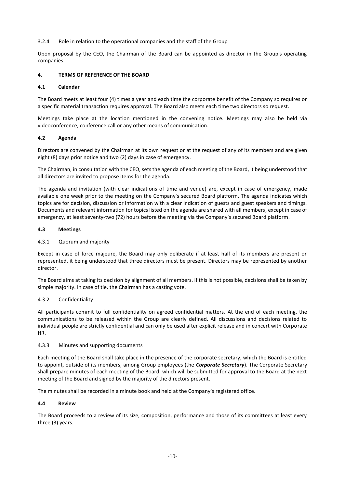3.2.4 Role in relation to the operational companies and the staff of the Group

Upon proposal by the CEO, the Chairman of the Board can be appointed as director in the Group's operating companies.

#### **4. TERMS OF REFERENCE OF THE BOARD**

#### **4.1 Calendar**

The Board meets at least four (4) times a year and each time the corporate benefit of the Company so requires or a specific material transaction requires approval. The Board also meets each time two directors so request.

Meetings take place at the location mentioned in the convening notice. Meetings may also be held via videoconference, conference call or any other means of communication.

#### **4.2 Agenda**

Directors are convened by the Chairman at its own request or at the request of any of its members and are given eight (8) days prior notice and two (2) days in case of emergency.

The Chairman, in consultation with the CEO, sets the agenda of each meeting of the Board, it being understood that all directors are invited to propose items for the agenda.

The agenda and invitation (with clear indications of time and venue) are, except in case of emergency, made available one week prior to the meeting on the Company's secured Board platform. The agenda indicates which topics are for decision, discussion or information with a clear indication of guests and guest speakers and timings. Documents and relevant information for topics listed on the agenda are shared with all members, except in case of emergency, at least seventy-two (72) hours before the meeting via the Company's secured Board platform.

#### **4.3 Meetings**

### 4.3.1 Quorum and majority

Except in case of force majeure, the Board may only deliberate if at least half of its members are present or represented, it being understood that three directors must be present. Directors may be represented by another director.

The Board aims at taking its decision by alignment of all members. If this is not possible, decisions shall be taken by simple majority. In case of tie, the Chairman has a casting vote.

#### 4.3.2 Confidentiality

All participants commit to full confidentiality on agreed confidential matters. At the end of each meeting, the communications to be released within the Group are clearly defined. All discussions and decisions related to individual people are strictly confidential and can only be used after explicit release and in concert with Corporate HR.

#### 4.3.3 Minutes and supporting documents

Each meeting of the Board shall take place in the presence of the corporate secretary, which the Board is entitled to appoint, outside of its members, among Group employees (the *Corporate Secretary*). The Corporate Secretary shall prepare minutes of each meeting of the Board, which will be submitted for approval to the Board at the next meeting of the Board and signed by the majority of the directors present.

The minutes shall be recorded in a minute book and held at the Company's registered office.

#### **4.4 Review**

The Board proceeds to a review of its size, composition, performance and those of its committees at least every three (3) years.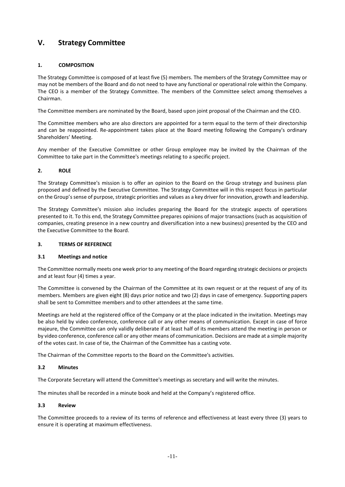## <span id="page-11-0"></span>**V. Strategy Committee**

## **1. COMPOSITION**

The Strategy Committee is composed of at least five (5) members. The members of the Strategy Committee may or may not be members of the Board and do not need to have any functional or operational role within the Company. The CEO is a member of the Strategy Committee. The members of the Committee select among themselves a Chairman.

The Committee members are nominated by the Board, based upon joint proposal of the Chairman and the CEO.

The Committee members who are also directors are appointed for a term equal to the term of their directorship and can be reappointed. Re-appointment takes place at the Board meeting following the Company's ordinary Shareholders' Meeting.

Any member of the Executive Committee or other Group employee may be invited by the Chairman of the Committee to take part in the Committee's meetings relating to a specific project.

### **2. ROLE**

The Strategy Committee's mission is to offer an opinion to the Board on the Group strategy and business plan proposed and defined by the Executive Committee. The Strategy Committee will in this respect focus in particular on the Group's sense of purpose, strategic priorities and values as a key driver for innovation, growth and leadership.

The Strategy Committee's mission also includes preparing the Board for the strategic aspects of operations presented to it. To this end, the Strategy Committee prepares opinions of major transactions (such as acquisition of companies, creating presence in a new country and diversification into a new business) presented by the CEO and the Executive Committee to the Board.

#### **3. TERMS OF REFERENCE**

## **3.1 Meetings and notice**

The Committee normally meets one week prior to any meeting of the Board regarding strategic decisions or projects and at least four (4) times a year.

The Committee is convened by the Chairman of the Committee at its own request or at the request of any of its members. Members are given eight (8) days prior notice and two (2) days in case of emergency. Supporting papers shall be sent to Committee members and to other attendees at the same time.

Meetings are held at the registered office of the Company or at the place indicated in the invitation. Meetings may be also held by video conference, conference call or any other means of communication. Except in case of force majeure, the Committee can only validly deliberate if at least half of its members attend the meeting in person or by video conference, conference call or any other means of communication. Decisions are made at a simple majority of the votes cast. In case of tie, the Chairman of the Committee has a casting vote.

The Chairman of the Committee reports to the Board on the Committee's activities.

## **3.2 Minutes**

The Corporate Secretary will attend the Committee's meetings as secretary and will write the minutes.

The minutes shall be recorded in a minute book and held at the Company's registered office.

#### **3.3 Review**

The Committee proceeds to a review of its terms of reference and effectiveness at least every three (3) years to ensure it is operating at maximum effectiveness.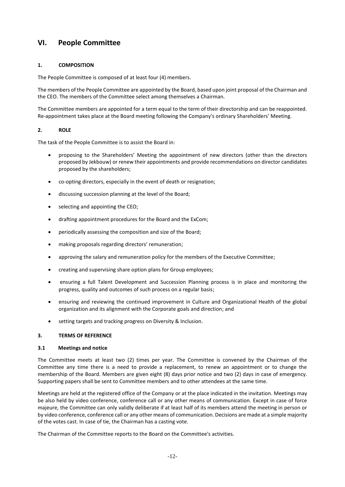## <span id="page-12-0"></span>**VI. People Committee**

## **1. COMPOSITION**

The People Committee is composed of at least four (4) members.

The members of the People Committee are appointed by the Board, based upon joint proposal of the Chairman and the CEO. The members of the Committee select among themselves a Chairman.

The Committee members are appointed for a term equal to the term of their directorship and can be reappointed. Re-appointment takes place at the Board meeting following the Company's ordinary Shareholders' Meeting.

#### **2. ROLE**

The task of the People Committee is to assist the Board in:

- proposing to the Shareholders' Meeting the appointment of new directors (other than the directors proposed by Jekbouw) or renew their appointments and provide recommendations on director candidates proposed by the shareholders;
- co-opting directors, especially in the event of death or resignation;
- discussing succession planning at the level of the Board;
- selecting and appointing the CEO;
- drafting appointment procedures for the Board and the ExCom;
- periodically assessing the composition and size of the Board;
- making proposals regarding directors' remuneration;
- approving the salary and remuneration policy for the members of the Executive Committee;
- creating and supervising share option plans for Group employees;
- ensuring a full Talent Development and Succession Planning process is in place and monitoring the progress, quality and outcomes of such process on a regular basis;
- ensuring and reviewing the continued improvement in Culture and Organizational Health of the global organization and its alignment with the Corporate goals and direction; and
- setting targets and tracking progress on Diversity & Inclusion.

#### **3. TERMS OF REFERENCE**

#### **3.1 Meetings and notice**

The Committee meets at least two (2) times per year. The Committee is convened by the Chairman of the Committee any time there is a need to provide a replacement, to renew an appointment or to change the membership of the Board. Members are given eight (8) days prior notice and two (2) days in case of emergency. Supporting papers shall be sent to Committee members and to other attendees at the same time.

Meetings are held at the registered office of the Company or at the place indicated in the invitation. Meetings may be also held by video conference, conference call or any other means of communication. Except in case of force majeure, the Committee can only validly deliberate if at least half of its members attend the meeting in person or by video conference, conference call or any other means of communication. Decisions are made at a simple majority of the votes cast. In case of tie, the Chairman has a casting vote.

The Chairman of the Committee reports to the Board on the Committee's activities.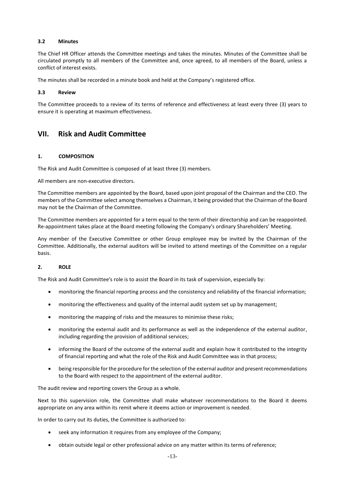#### **3.2 Minutes**

The Chief HR Officer attends the Committee meetings and takes the minutes. Minutes of the Committee shall be circulated promptly to all members of the Committee and, once agreed, to all members of the Board, unless a conflict of interest exists.

The minutes shall be recorded in a minute book and held at the Company's registered office.

#### **3.3 Review**

The Committee proceeds to a review of its terms of reference and effectiveness at least every three (3) years to ensure it is operating at maximum effectiveness.

## <span id="page-13-0"></span>**VII. Risk and Audit Committee**

### **1. COMPOSITION**

The Risk and Audit Committee is composed of at least three (3) members.

All members are non-executive directors.

The Committee members are appointed by the Board, based upon joint proposal of the Chairman and the CEO. The members of the Committee select among themselves a Chairman, it being provided that the Chairman of the Board may not be the Chairman of the Committee.

The Committee members are appointed for a term equal to the term of their directorship and can be reappointed. Re-appointment takes place at the Board meeting following the Company's ordinary Shareholders' Meeting.

Any member of the Executive Committee or other Group employee may be invited by the Chairman of the Committee. Additionally, the external auditors will be invited to attend meetings of the Committee on a regular basis.

#### **2. ROLE**

The Risk and Audit Committee's role is to assist the Board in its task of supervision, especially by:

- monitoring the financial reporting process and the consistency and reliability of the financial information;
- monitoring the effectiveness and quality of the internal audit system set up by management;
- monitoring the mapping of risks and the measures to minimise these risks;
- monitoring the external audit and its performance as well as the independence of the external auditor, including regarding the provision of additional services;
- informing the Board of the outcome of the external audit and explain how it contributed to the integrity of financial reporting and what the role of the Risk and Audit Committee was in that process;
- being responsible for the procedure for the selection of the external auditor and present recommendations to the Board with respect to the appointment of the external auditor.

The audit review and reporting covers the Group as a whole.

Next to this supervision role, the Committee shall make whatever recommendations to the Board it deems appropriate on any area within its remit where it deems action or improvement is needed.

In order to carry out its duties, the Committee is authorized to:

- seek any information it requires from any employee of the Company;
- obtain outside legal or other professional advice on any matter within its terms of reference;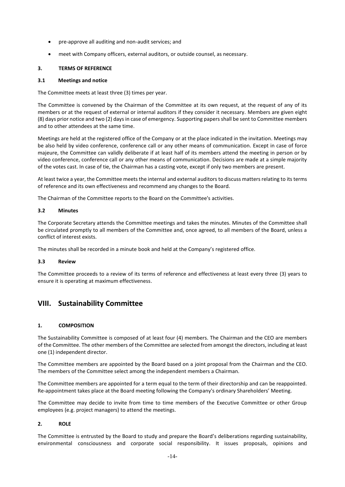- pre-approve all auditing and non-audit services; and
- meet with Company officers, external auditors, or outside counsel, as necessary.

### **3. TERMS OF REFERENCE**

#### **3.1 Meetings and notice**

The Committee meets at least three (3) times per year.

The Committee is convened by the Chairman of the Committee at its own request, at the request of any of its members or at the request of external or internal auditors if they consider it necessary. Members are given eight (8) days prior notice and two (2) days in case of emergency. Supporting papers shall be sent to Committee members and to other attendees at the same time.

Meetings are held at the registered office of the Company or at the place indicated in the invitation. Meetings may be also held by video conference, conference call or any other means of communication. Except in case of force majeure, the Committee can validly deliberate if at least half of its members attend the meeting in person or by video conference, conference call or any other means of communication. Decisions are made at a simple majority of the votes cast. In case of tie, the Chairman has a casting vote, except if only two members are present.

At least twice a year, the Committee meets the internal and external auditors to discuss matters relating to its terms of reference and its own effectiveness and recommend any changes to the Board.

The Chairman of the Committee reports to the Board on the Committee's activities.

### **3.2 Minutes**

The Corporate Secretary attends the Committee meetings and takes the minutes. Minutes of the Committee shall be circulated promptly to all members of the Committee and, once agreed, to all members of the Board, unless a conflict of interest exists.

The minutes shall be recorded in a minute book and held at the Company's registered office.

#### **3.3 Review**

The Committee proceeds to a review of its terms of reference and effectiveness at least every three (3) years to ensure it is operating at maximum effectiveness.

## <span id="page-14-0"></span>**VIII. Sustainability Committee**

## **1. COMPOSITION**

The Sustainability Committee is composed of at least four (4) members. The Chairman and the CEO are members of the Committee. The other members of the Committee are selected from amongst the directors, including at least one (1) independent director.

The Committee members are appointed by the Board based on a joint proposal from the Chairman and the CEO. The members of the Committee select among the independent members a Chairman.

The Committee members are appointed for a term equal to the term of their directorship and can be reappointed. Re-appointment takes place at the Board meeting following the Company's ordinary Shareholders' Meeting.

The Committee may decide to invite from time to time members of the Executive Committee or other Group employees (e.g. project managers) to attend the meetings.

## **2. ROLE**

The Committee is entrusted by the Board to study and prepare the Board's deliberations regarding sustainability, environmental consciousness and corporate social responsibility. It issues proposals, opinions and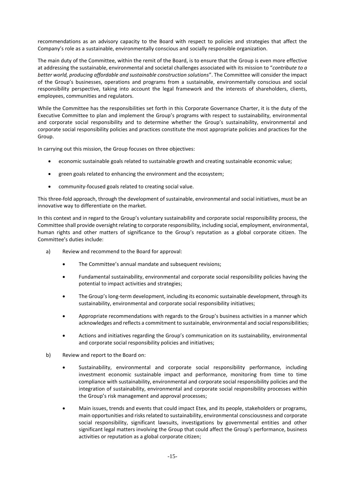recommendations as an advisory capacity to the Board with respect to policies and strategies that affect the Company's role as a sustainable, environmentally conscious and socially responsible organization.

The main duty of the Committee, within the remit of the Board, is to ensure that the Group is even more effective at addressing the sustainable, environmental and societal challenges associated with its mission to "*contribute to a better world, producing affordable and sustainable construction solutions*". The Committee will consider the impact of the Group's businesses, operations and programs from a sustainable, environmentally conscious and social responsibility perspective, taking into account the legal framework and the interests of shareholders, clients, employees, communities and regulators.

While the Committee has the responsibilities set forth in this Corporate Governance Charter, it is the duty of the Executive Committee to plan and implement the Group's programs with respect to sustainability, environmental and corporate social responsibility and to determine whether the Group's sustainability, environmental and corporate social responsibility policies and practices constitute the most appropriate policies and practices for the Group.

In carrying out this mission, the Group focuses on three objectives:

- economic sustainable goals related to sustainable growth and creating sustainable economic value;
- green goals related to enhancing the environment and the ecosystem;
- community-focused goals related to creating social value.

This three-fold approach, through the development of sustainable, environmental and social initiatives, must be an innovative way to differentiate on the market.

In this context and in regard to the Group's voluntary sustainability and corporate social responsibility process, the Committee shall provide oversight relating to corporate responsibility, including social, employment, environmental, human rights and other matters of significance to the Group's reputation as a global corporate citizen. The Committee's duties include:

- a) Review and recommend to the Board for approval:
	- The Committee's annual mandate and subsequent revisions:
	- Fundamental sustainability, environmental and corporate social responsibility policies having the potential to impact activities and strategies;
	- The Group's long-term development, including its economic sustainable development, through its sustainability, environmental and corporate social responsibility initiatives;
	- Appropriate recommendations with regards to the Group's business activities in a manner which acknowledges and reflects a commitment to sustainable, environmental and social responsibilities;
	- Actions and initiatives regarding the Group's communication on its sustainability, environmental and corporate social responsibility policies and initiatives;
- b) Review and report to the Board on:
	- Sustainability, environmental and corporate social responsibility performance, including investment economic sustainable impact and performance, monitoring from time to time compliance with sustainability, environmental and corporate social responsibility policies and the integration of sustainability, environmental and corporate social responsibility processes within the Group's risk management and approval processes;
	- Main issues, trends and events that could impact Etex, and its people, stakeholders or programs, main opportunities and risks related to sustainability, environmental consciousness and corporate social responsibility, significant lawsuits, investigations by governmental entities and other significant legal matters involving the Group that could affect the Group's performance, business activities or reputation as a global corporate citizen;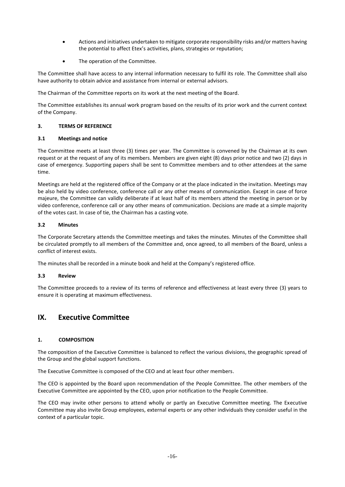- Actions and initiatives undertaken to mitigate corporate responsibility risks and/or matters having the potential to affect Etex's activities, plans, strategies or reputation;
- The operation of the Committee.

The Committee shall have access to any internal information necessary to fulfil its role. The Committee shall also have authority to obtain advice and assistance from internal or external advisors.

The Chairman of the Committee reports on its work at the next meeting of the Board.

The Committee establishes its annual work program based on the results of its prior work and the current context of the Company.

### **3. TERMS OF REFERENCE**

### **3.1 Meetings and notice**

The Committee meets at least three (3) times per year. The Committee is convened by the Chairman at its own request or at the request of any of its members. Members are given eight (8) days prior notice and two (2) days in case of emergency. Supporting papers shall be sent to Committee members and to other attendees at the same time.

Meetings are held at the registered office of the Company or at the place indicated in the invitation. Meetings may be also held by video conference, conference call or any other means of communication. Except in case of force majeure, the Committee can validly deliberate if at least half of its members attend the meeting in person or by video conference, conference call or any other means of communication. Decisions are made at a simple majority of the votes cast. In case of tie, the Chairman has a casting vote.

### **3.2 Minutes**

The Corporate Secretary attends the Committee meetings and takes the minutes. Minutes of the Committee shall be circulated promptly to all members of the Committee and, once agreed, to all members of the Board, unless a conflict of interest exists.

The minutes shall be recorded in a minute book and held at the Company's registered office.

#### **3.3 Review**

The Committee proceeds to a review of its terms of reference and effectiveness at least every three (3) years to ensure it is operating at maximum effectiveness.

## <span id="page-16-0"></span>**IX. Executive Committee**

#### **1. COMPOSITION**

The composition of the Executive Committee is balanced to reflect the various divisions, the geographic spread of the Group and the global support functions.

The Executive Committee is composed of the CEO and at least four other members.

The CEO is appointed by the Board upon recommendation of the People Committee. The other members of the Executive Committee are appointed by the CEO, upon prior notification to the People Committee.

The CEO may invite other persons to attend wholly or partly an Executive Committee meeting. The Executive Committee may also invite Group employees, external experts or any other individuals they consider useful in the context of a particular topic.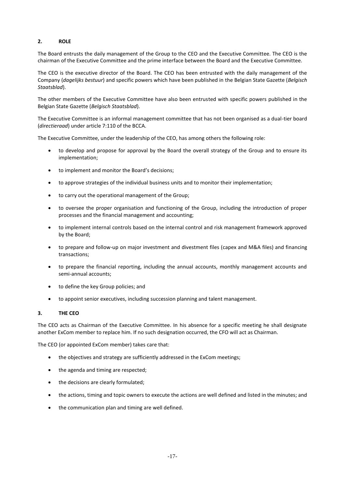## **2. ROLE**

The Board entrusts the daily management of the Group to the CEO and the Executive Committee. The CEO is the chairman of the Executive Committee and the prime interface between the Board and the Executive Committee.

The CEO is the executive director of the Board. The CEO has been entrusted with the daily management of the Company (*dagelijks bestuur*) and specific powers which have been published in the Belgian State Gazette (*Belgisch Staatsblad*).

The other members of the Executive Committee have also been entrusted with specific powers published in the Belgian State Gazette (*Belgisch Staatsblad*).

The Executive Committee is an informal management committee that has not been organised as a dual-tier board (*directieraad*) under article 7:110 of the BCCA.

The Executive Committee, under the leadership of the CEO, has among others the following role:

- to develop and propose for approval by the Board the overall strategy of the Group and to ensure its implementation;
- to implement and monitor the Board's decisions;
- to approve strategies of the individual business units and to monitor their implementation;
- to carry out the operational management of the Group;
- to oversee the proper organisation and functioning of the Group, including the introduction of proper processes and the financial management and accounting;
- to implement internal controls based on the internal control and risk management framework approved by the Board;
- to prepare and follow-up on major investment and divestment files (capex and M&A files) and financing transactions;
- to prepare the financial reporting, including the annual accounts, monthly management accounts and semi-annual accounts;
- to define the key Group policies; and
- to appoint senior executives, including succession planning and talent management.

#### **3. THE CEO**

The CEO acts as Chairman of the Executive Committee. In his absence for a specific meeting he shall designate another ExCom member to replace him. If no such designation occurred, the CFO will act as Chairman.

The CEO (or appointed ExCom member) takes care that:

- the objectives and strategy are sufficiently addressed in the ExCom meetings;
- the agenda and timing are respected;
- the decisions are clearly formulated;
- the actions, timing and topic owners to execute the actions are well defined and listed in the minutes; and
- the communication plan and timing are well defined.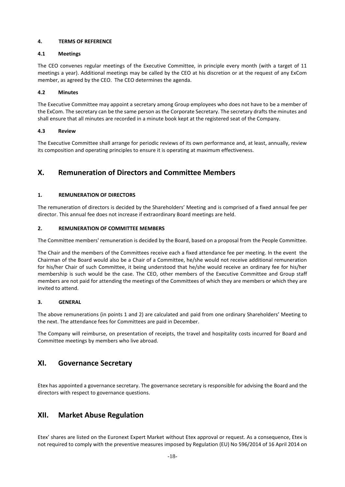#### **4. TERMS OF REFERENCE**

### **4.1 Meetings**

The CEO convenes regular meetings of the Executive Committee, in principle every month (with a target of 11 meetings a year). Additional meetings may be called by the CEO at his discretion or at the request of any ExCom member, as agreed by the CEO. The CEO determines the agenda.

### **4.2 Minutes**

The Executive Committee may appoint a secretary among Group employees who does not have to be a member of the ExCom. The secretary can be the same person as the Corporate Secretary. The secretary drafts the minutes and shall ensure that all minutes are recorded in a minute book kept at the registered seat of the Company.

### **4.3 Review**

The Executive Committee shall arrange for periodic reviews of its own performance and, at least, annually, review its composition and operating principles to ensure it is operating at maximum effectiveness.

## <span id="page-18-0"></span>**X. Remuneration of Directors and Committee Members**

## **1. REMUNERATION OF DIRECTORS**

The remuneration of directors is decided by the Shareholders' Meeting and is comprised of a fixed annual fee per director. This annual fee does not increase if extraordinary Board meetings are held.

### **2. REMUNERATION OF COMMITTEE MEMBERS**

The Committee members' remuneration is decided by the Board, based on a proposal from the People Committee.

The Chair and the members of the Committees receive each a fixed attendance fee per meeting. In the event the Chairman of the Board would also be a Chair of a Committee, he/she would not receive additional remuneration for his/her Chair of such Committee, it being understood that he/she would receive an ordinary fee for his/her membership is such would be the case. The CEO, other members of the Executive Committee and Group staff members are not paid for attending the meetings of the Committees of which they are members or which they are invited to attend.

#### **3. GENERAL**

The above remunerations (in points 1 and 2) are calculated and paid from one ordinary Shareholders' Meeting to the next. The attendance fees for Committees are paid in December.

The Company will reimburse, on presentation of receipts, the travel and hospitality costs incurred for Board and Committee meetings by members who live abroad.

## <span id="page-18-1"></span>**XI. Governance Secretary**

Etex has appointed a governance secretary. The governance secretary is responsible for advising the Board and the directors with respect to governance questions.

## <span id="page-18-2"></span>**XII. Market Abuse Regulation**

Etex' shares are listed on the Euronext Expert Market without Etex approval or request. As a consequence, Etex is not required to comply with the preventive measures imposed by Regulation (EU) No 596/2014 of 16 April 2014 on